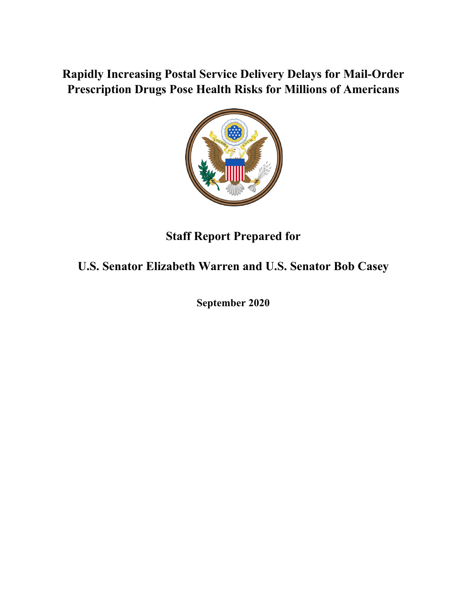## **Rapidly Increasing Postal Service Delivery Delays for Mail-Order Prescription Drugs Pose Health Risks for Millions of Americans**



# **Staff Report Prepared for**

# **U.S. Senator Elizabeth Warren and U.S. Senator Bob Casey**

**September 2020**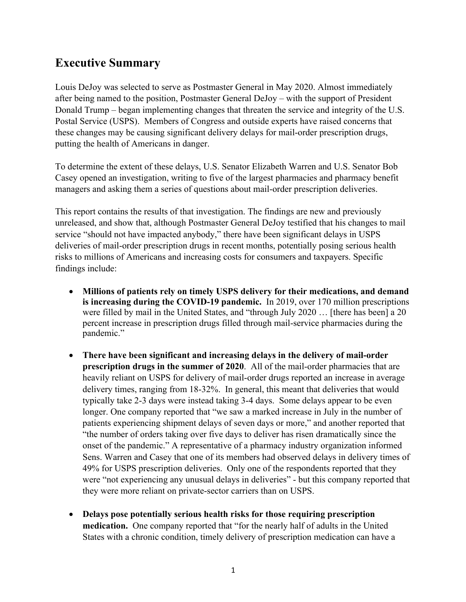### **Executive Summary**

Louis DeJoy was selected to serve as Postmaster General in May 2020. Almost immediately after being named to the position, Postmaster General DeJoy – with the support of President Donald Trump – began implementing changes that threaten the service and integrity of the U.S. Postal Service (USPS). Members of Congress and outside experts have raised concerns that these changes may be causing significant delivery delays for mail-order prescription drugs, putting the health of Americans in danger.

To determine the extent of these delays, U.S. Senator Elizabeth Warren and U.S. Senator Bob Casey opened an investigation, writing to five of the largest pharmacies and pharmacy benefit managers and asking them a series of questions about mail-order prescription deliveries.

This report contains the results of that investigation. The findings are new and previously unreleased, and show that, although Postmaster General DeJoy testified that his changes to mail service "should not have impacted anybody," there have been significant delays in USPS deliveries of mail-order prescription drugs in recent months, potentially posing serious health risks to millions of Americans and increasing costs for consumers and taxpayers. Specific findings include:

- **Millions of patients rely on timely USPS delivery for their medications, and demand is increasing during the COVID-19 pandemic.** In 2019, over 170 million prescriptions were filled by mail in the United States, and "through July 2020 … [there has been] a 20 percent increase in prescription drugs filled through mail-service pharmacies during the pandemic."
- **There have been significant and increasing delays in the delivery of mail-order prescription drugs in the summer of 2020.** All of the mail-order pharmacies that are heavily reliant on USPS for delivery of mail-order drugs reported an increase in average delivery times, ranging from 18-32%. In general, this meant that deliveries that would typically take 2-3 days were instead taking 3-4 days. Some delays appear to be even longer. One company reported that "we saw a marked increase in July in the number of patients experiencing shipment delays of seven days or more," and another reported that "the number of orders taking over five days to deliver has risen dramatically since the onset of the pandemic." A representative of a pharmacy industry organization informed Sens. Warren and Casey that one of its members had observed delays in delivery times of 49% for USPS prescription deliveries. Only one of the respondents reported that they were "not experiencing any unusual delays in deliveries" - but this company reported that they were more reliant on private-sector carriers than on USPS.
- **Delays pose potentially serious health risks for those requiring prescription medication.** One company reported that "for the nearly half of adults in the United States with a chronic condition, timely delivery of prescription medication can have a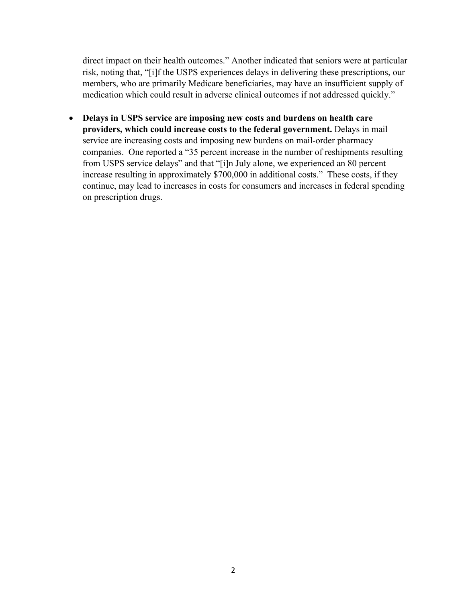direct impact on their health outcomes." Another indicated that seniors were at particular risk, noting that, "[i]f the USPS experiences delays in delivering these prescriptions, our members, who are primarily Medicare beneficiaries, may have an insufficient supply of medication which could result in adverse clinical outcomes if not addressed quickly."

• **Delays in USPS service are imposing new costs and burdens on health care providers, which could increase costs to the federal government.** Delays in mail service are increasing costs and imposing new burdens on mail-order pharmacy companies. One reported a "35 percent increase in the number of reshipments resulting from USPS service delays" and that "[i]n July alone, we experienced an 80 percent increase resulting in approximately \$700,000 in additional costs." These costs, if they continue, may lead to increases in costs for consumers and increases in federal spending on prescription drugs.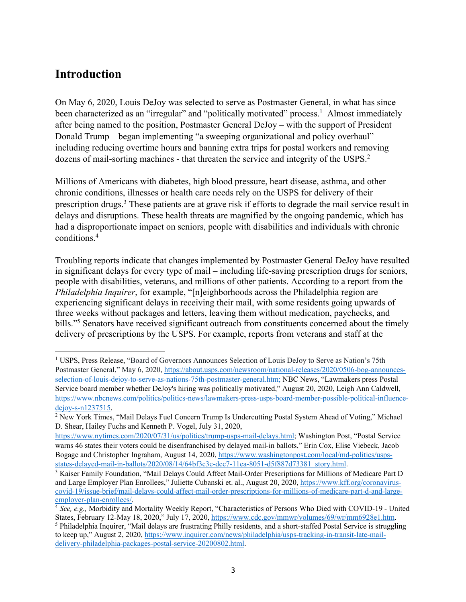### **Introduction**

On May 6, 2020, Louis DeJoy was selected to serve as Postmaster General, in what has since been characterized as an "irregular" and "politically motivated" process.<sup>1</sup> Almost immediately after being named to the position, Postmaster General DeJoy – with the support of President Donald Trump – began implementing "a sweeping organizational and policy overhaul" – including reducing overtime hours and banning extra trips for postal workers and removing dozens of mail-sorting machines - that threaten the service and integrity of the USPS.<sup>2</sup>

Millions of Americans with diabetes, high blood pressure, heart disease, asthma, and other chronic conditions, illnesses or health care needs rely on the USPS for delivery of their prescription drugs.<sup>3</sup> These patients are at grave risk if efforts to degrade the mail service result in delays and disruptions. These health threats are magnified by the ongoing pandemic, which has had a disproportionate impact on seniors, people with disabilities and individuals with chronic conditions. 4

Troubling reports indicate that changes implemented by Postmaster General DeJoy have resulted in significant delays for every type of mail – including life-saving prescription drugs for seniors, people with disabilities, veterans, and millions of other patients. According to a report from the *Philadelphia Inquirer*, for example, "[n]eighborhoods across the Philadelphia region are experiencing significant delays in receiving their mail, with some residents going upwards of three weeks without packages and letters, leaving them without medication, paychecks, and bills."5 Senators have received significant outreach from constituents concerned about the timely delivery of prescriptions by the USPS. For example, reports from veterans and staff at the

<sup>1</sup> USPS, Press Release, "Board of Governors Announces Selection of Louis DeJoy to Serve as Nation's 75th Postmaster General," May 6, 2020, https://about.usps.com/newsroom/national-releases/2020/0506-bog-announcesselection-of-louis-dejoy-to-serve-as-nations-75th-postmaster-general.htm; NBC News, "Lawmakers press Postal Service board member whether DeJoy's hiring was politically motivated," August 20, 2020, Leigh Ann Caldwell, https://www.nbcnews.com/politics/politics-news/lawmakers-press-usps-board-member-possible-political-influencedejoy-s-n1237515.

<sup>2</sup> New York Times, "Mail Delays Fuel Concern Trump Is Undercutting Postal System Ahead of Voting," Michael D. Shear, Hailey Fuchs and Kenneth P. Vogel, July 31, 2020,

https://www.nytimes.com/2020/07/31/us/politics/trump-usps-mail-delays.html; Washington Post, "Postal Service warns 46 states their voters could be disenfranchised by delayed mail-in ballots," Erin Cox, Elise Viebeck, Jacob Bogage and Christopher Ingraham, August 14, 2020, https://www.washingtonpost.com/local/md-politics/uspsstates-delayed-mail-in-ballots/2020/08/14/64bf3c3c-dcc7-11ea-8051-d5f887d73381\_story.html.

<sup>3</sup> Kaiser Family Foundation, "Mail Delays Could Affect Mail-Order Prescriptions for Millions of Medicare Part D and Large Employer Plan Enrollees," Juliette Cubanski et. al., August 20, 2020, https://www.kff.org/coronaviruscovid-19/issue-brief/mail-delays-could-affect-mail-order-prescriptions-for-millions-of-medicare-part-d-and-largeemployer-plan-enrollees/. 4 *See, e.g.,* Morbidity and Mortality Weekly Report, "Characteristics of Persons Who Died with COVID-19 - United

States, February 12-May 18, 2020," July 17, 2020, https://www.cdc.gov/mmwr/volumes/69/wr/mm6928e1.htm. <sup>5</sup> Philadelphia Inquirer, "Mail delays are frustrating Philly residents, and a short-staffed Postal Service is struggling to keep up," August 2, 2020, https://www.inquirer.com/news/philadelphia/usps-tracking-in-transit-late-maildelivery-philadelphia-packages-postal-service-20200802.html.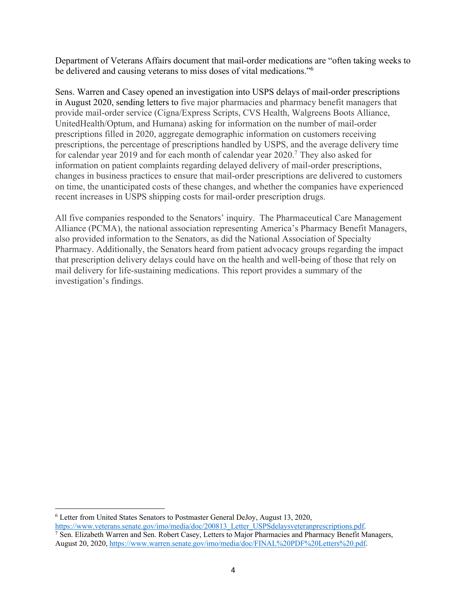Department of Veterans Affairs document that mail-order medications are "often taking weeks to be delivered and causing veterans to miss doses of vital medications."6

Sens. Warren and Casey opened an investigation into USPS delays of mail-order prescriptions in August 2020, sending letters to five major pharmacies and pharmacy benefit managers that provide mail-order service (Cigna/Express Scripts, CVS Health, Walgreens Boots Alliance, UnitedHealth/Optum, and Humana) asking for information on the number of mail-order prescriptions filled in 2020, aggregate demographic information on customers receiving prescriptions, the percentage of prescriptions handled by USPS, and the average delivery time for calendar year 2019 and for each month of calendar year 2020.7 They also asked for information on patient complaints regarding delayed delivery of mail-order prescriptions, changes in business practices to ensure that mail-order prescriptions are delivered to customers on time, the unanticipated costs of these changes, and whether the companies have experienced recent increases in USPS shipping costs for mail-order prescription drugs.

All five companies responded to the Senators' inquiry. The Pharmaceutical Care Management Alliance (PCMA), the national association representing America's Pharmacy Benefit Managers, also provided information to the Senators, as did the National Association of Specialty Pharmacy. Additionally, the Senators heard from patient advocacy groups regarding the impact that prescription delivery delays could have on the health and well-being of those that rely on mail delivery for life-sustaining medications. This report provides a summary of the investigation's findings.

 $6$  Letter from United States Senators to Postmaster General DeJoy, August 13, 2020,<br>https://www.veterans.senate.gov/imo/media/doc/200813 Letter USPSdelaysveteranprescriptions.pdf.

<sup>7</sup> Sen. Elizabeth Warren and Sen. Robert Casey, Letters to Major Pharmacies and Pharmacy Benefit Managers, August 20, 2020, https://www.warren.senate.gov/imo/media/doc/FINAL%20PDF%20Letters%20.pdf.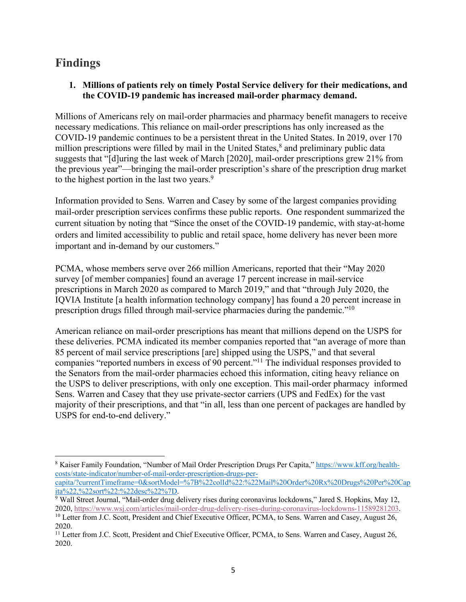## **Findings**

#### **1. Millions of patients rely on timely Postal Service delivery for their medications, and the COVID-19 pandemic has increased mail-order pharmacy demand.**

Millions of Americans rely on mail-order pharmacies and pharmacy benefit managers to receive necessary medications. This reliance on mail-order prescriptions has only increased as the COVID-19 pandemic continues to be a persistent threat in the United States. In 2019, over 170 million prescriptions were filled by mail in the United States,<sup>8</sup> and preliminary public data suggests that "[d]uring the last week of March [2020], mail-order prescriptions grew 21% from the previous year"—bringing the mail-order prescription's share of the prescription drug market to the highest portion in the last two years.<sup>9</sup>

Information provided to Sens. Warren and Casey by some of the largest companies providing mail-order prescription services confirms these public reports. One respondent summarized the current situation by noting that "Since the onset of the COVID-19 pandemic, with stay-at-home orders and limited accessibility to public and retail space, home delivery has never been more important and in-demand by our customers."

PCMA, whose members serve over 266 million Americans, reported that their "May 2020 survey [of member companies] found an average 17 percent increase in mail-service prescriptions in March 2020 as compared to March 2019," and that "through July 2020, the IQVIA Institute [a health information technology company] has found a 20 percent increase in prescription drugs filled through mail-service pharmacies during the pandemic."10

American reliance on mail-order prescriptions has meant that millions depend on the USPS for these deliveries. PCMA indicated its member companies reported that "an average of more than 85 percent of mail service prescriptions [are] shipped using the USPS," and that several companies "reported numbers in excess of 90 percent."11 The individual responses provided to the Senators from the mail-order pharmacies echoed this information, citing heavy reliance on the USPS to deliver prescriptions, with only one exception. This mail-order pharmacy informed Sens. Warren and Casey that they use private-sector carriers (UPS and FedEx) for the vast majority of their prescriptions, and that "in all, less than one percent of packages are handled by USPS for end-to-end delivery."

<sup>8</sup> Kaiser Family Foundation, "Number of Mail Order Prescription Drugs Per Capita," https://www.kff.org/healthcosts/state-indicator/number-of-mail-order-prescription-drugs-percapita/?currentTimeframe=0&sortModel=%7B%22colId%22:%22Mail%20Order%20Rx%20Drugs%20Per%20Cap<br>ita%22,%22sort%22:%22desc%22%7D.

<sup>&</sup>lt;sup>9</sup> Wall Street Journal, "Mail-order drug delivery rises during coronavirus lockdowns," Jared S. Hopkins, May 12, 2020, https://www.wsj.com/articles/mail-order-drug-delivery-rises-during-coronavirus-lockdowns-11589281203.<br><sup>10</sup> Letter from J.C. Scott, President and Chief Executive Officer, PCMA, to Sens. Warren and Casey, August 26,

<sup>2020.</sup>

<sup>&</sup>lt;sup>11</sup> Letter from J.C. Scott, President and Chief Executive Officer, PCMA, to Sens. Warren and Casey, August 26, 2020.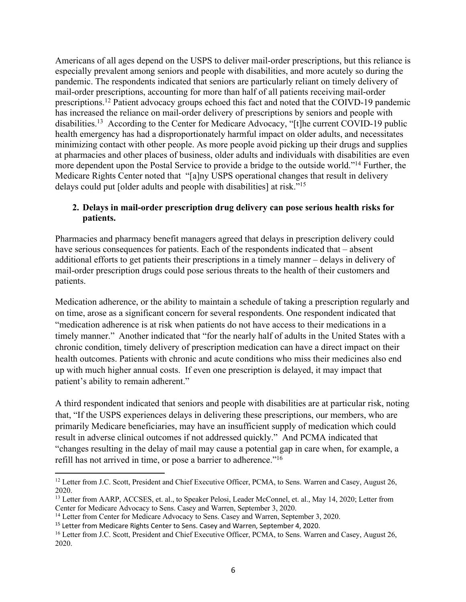Americans of all ages depend on the USPS to deliver mail-order prescriptions, but this reliance is especially prevalent among seniors and people with disabilities, and more acutely so during the pandemic. The respondents indicated that seniors are particularly reliant on timely delivery of mail-order prescriptions, accounting for more than half of all patients receiving mail-order prescriptions.<sup>12</sup> Patient advocacy groups echoed this fact and noted that the COIVD-19 pandemic has increased the reliance on mail-order delivery of prescriptions by seniors and people with disabilities.13 According to the Center for Medicare Advocacy, "[t]he current COVID-19 public health emergency has had a disproportionately harmful impact on older adults, and necessitates minimizing contact with other people. As more people avoid picking up their drugs and supplies at pharmacies and other places of business, older adults and individuals with disabilities are even more dependent upon the Postal Service to provide a bridge to the outside world."14 Further, the Medicare Rights Center noted that "[a]ny USPS operational changes that result in delivery delays could put [older adults and people with disabilities] at risk."15

#### **2. Delays in mail-order prescription drug delivery can pose serious health risks for patients.**

Pharmacies and pharmacy benefit managers agreed that delays in prescription delivery could have serious consequences for patients. Each of the respondents indicated that – absent additional efforts to get patients their prescriptions in a timely manner – delays in delivery of mail-order prescription drugs could pose serious threats to the health of their customers and patients.

Medication adherence, or the ability to maintain a schedule of taking a prescription regularly and on time, arose as a significant concern for several respondents. One respondent indicated that "medication adherence is at risk when patients do not have access to their medications in a timely manner." Another indicated that "for the nearly half of adults in the United States with a chronic condition, timely delivery of prescription medication can have a direct impact on their health outcomes. Patients with chronic and acute conditions who miss their medicines also end up with much higher annual costs. If even one prescription is delayed, it may impact that patient's ability to remain adherent."

A third respondent indicated that seniors and people with disabilities are at particular risk, noting that, "If the USPS experiences delays in delivering these prescriptions, our members, who are primarily Medicare beneficiaries, may have an insufficient supply of medication which could result in adverse clinical outcomes if not addressed quickly." And PCMA indicated that "changes resulting in the delay of mail may cause a potential gap in care when, for example, a refill has not arrived in time, or pose a barrier to adherence."16

<sup>&</sup>lt;sup>12</sup> Letter from J.C. Scott, President and Chief Executive Officer, PCMA, to Sens. Warren and Casey, August 26, 2020.

<sup>&</sup>lt;sup>13</sup> Letter from AARP, ACCSES, et. al., to Speaker Pelosi, Leader McConnel, et. al., May 14, 2020; Letter from Center for Medicare Advocacy to Sens. Casey and Warren, September 3, 2020.

<sup>&</sup>lt;sup>14</sup> Letter from Center for Medicare Advocacy to Sens. Casey and Warren, September 3, 2020.

<sup>&</sup>lt;sup>15</sup> Letter from Medicare Rights Center to Sens. Casey and Warren, September 4, 2020.

<sup>&</sup>lt;sup>16</sup> Letter from J.C. Scott, President and Chief Executive Officer, PCMA, to Sens. Warren and Casey, August 26, 2020.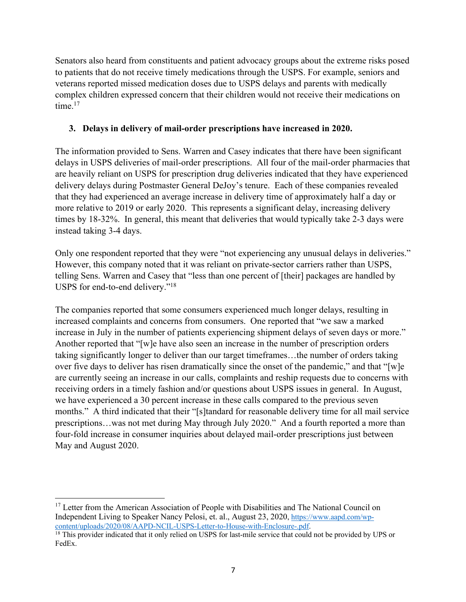Senators also heard from constituents and patient advocacy groups about the extreme risks posed to patients that do not receive timely medications through the USPS. For example, seniors and veterans reported missed medication doses due to USPS delays and parents with medically complex children expressed concern that their children would not receive their medications on time.<sup>17</sup>

#### **3. Delays in delivery of mail-order prescriptions have increased in 2020.**

The information provided to Sens. Warren and Casey indicates that there have been significant delays in USPS deliveries of mail-order prescriptions. All four of the mail-order pharmacies that are heavily reliant on USPS for prescription drug deliveries indicated that they have experienced delivery delays during Postmaster General DeJoy's tenure. Each of these companies revealed that they had experienced an average increase in delivery time of approximately half a day or more relative to 2019 or early 2020. This represents a significant delay, increasing delivery times by 18-32%. In general, this meant that deliveries that would typically take 2-3 days were instead taking 3-4 days.

Only one respondent reported that they were "not experiencing any unusual delays in deliveries." However, this company noted that it was reliant on private-sector carriers rather than USPS, telling Sens. Warren and Casey that "less than one percent of [their] packages are handled by USPS for end-to-end delivery."18

The companies reported that some consumers experienced much longer delays, resulting in increased complaints and concerns from consumers. One reported that "we saw a marked increase in July in the number of patients experiencing shipment delays of seven days or more." Another reported that "[w]e have also seen an increase in the number of prescription orders taking significantly longer to deliver than our target timeframes…the number of orders taking over five days to deliver has risen dramatically since the onset of the pandemic," and that "[w]e are currently seeing an increase in our calls, complaints and reship requests due to concerns with receiving orders in a timely fashion and/or questions about USPS issues in general. In August, we have experienced a 30 percent increase in these calls compared to the previous seven months." A third indicated that their "[s]tandard for reasonable delivery time for all mail service prescriptions…was not met during May through July 2020." And a fourth reported a more than four-fold increase in consumer inquiries about delayed mail-order prescriptions just between May and August 2020.

<sup>&</sup>lt;sup>17</sup> Letter from the American Association of People with Disabilities and The National Council on Independent Living to Speaker Nancy Pelosi, et. al., August 23, 2020, https://www.aapd.com/wpcontent/uploads/2020/08/AAPD-NCIL-USPS-Letter-to-House-with-Enclosure-.pdf.

<sup>&</sup>lt;sup>18</sup> This provider indicated that it only relied on USPS for last-mile service that could not be provided by UPS or FedEx.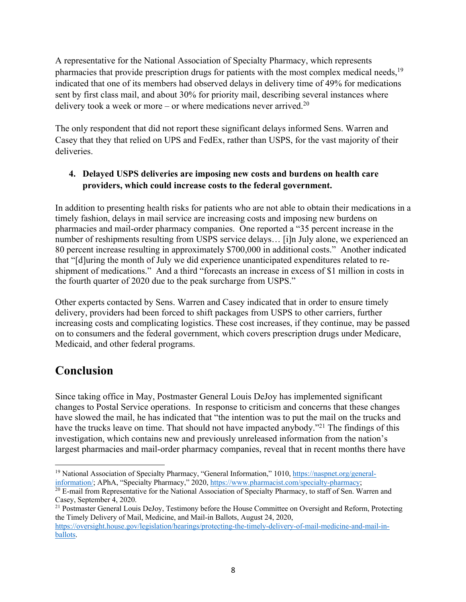A representative for the National Association of Specialty Pharmacy, which represents pharmacies that provide prescription drugs for patients with the most complex medical needs,<sup>19</sup> indicated that one of its members had observed delays in delivery time of 49% for medications sent by first class mail, and about 30% for priority mail, describing several instances where delivery took a week or more – or where medications never arrived.<sup>20</sup>

The only respondent that did not report these significant delays informed Sens. Warren and Casey that they that relied on UPS and FedEx, rather than USPS, for the vast majority of their deliveries.

#### **4. Delayed USPS deliveries are imposing new costs and burdens on health care providers, which could increase costs to the federal government.**

In addition to presenting health risks for patients who are not able to obtain their medications in a timely fashion, delays in mail service are increasing costs and imposing new burdens on pharmacies and mail-order pharmacy companies. One reported a "35 percent increase in the number of reshipments resulting from USPS service delays… [i]n July alone, we experienced an 80 percent increase resulting in approximately \$700,000 in additional costs." Another indicated that "[d]uring the month of July we did experience unanticipated expenditures related to reshipment of medications." And a third "forecasts an increase in excess of \$1 million in costs in the fourth quarter of 2020 due to the peak surcharge from USPS."

Other experts contacted by Sens. Warren and Casey indicated that in order to ensure timely delivery, providers had been forced to shift packages from USPS to other carriers, further increasing costs and complicating logistics. These cost increases, if they continue, may be passed on to consumers and the federal government, which covers prescription drugs under Medicare, Medicaid, and other federal programs.

### **Conclusion**

Since taking office in May, Postmaster General Louis DeJoy has implemented significant changes to Postal Service operations. In response to criticism and concerns that these changes have slowed the mail, he has indicated that "the intention was to put the mail on the trucks and have the trucks leave on time. That should not have impacted anybody."<sup>21</sup> The findings of this investigation, which contains new and previously unreleased information from the nation's largest pharmacies and mail-order pharmacy companies, reveal that in recent months there have

<sup>&</sup>lt;sup>19</sup> National Association of Specialty Pharmacy, "General Information," 1010, https://naspnet.org/generalinformation/; APhA, "Specialty Pharmacy," 2020, https://www.pharmacist.com/specialty-pharmacy; 20 E-mail from Representative for the National Association of Specialty Pharmacy, to staff of Sen. Warren and

Casey, September 4, 2020.

<sup>&</sup>lt;sup>21</sup> Postmaster General Louis DeJoy, Testimony before the House Committee on Oversight and Reform, Protecting the Timely Delivery of Mail, Medicine, and Mail-in Ballots, August 24, 2020,

https://oversight.house.gov/legislation/hearings/protecting-the-timely-delivery-of-mail-medicine-and-mail-inballots.